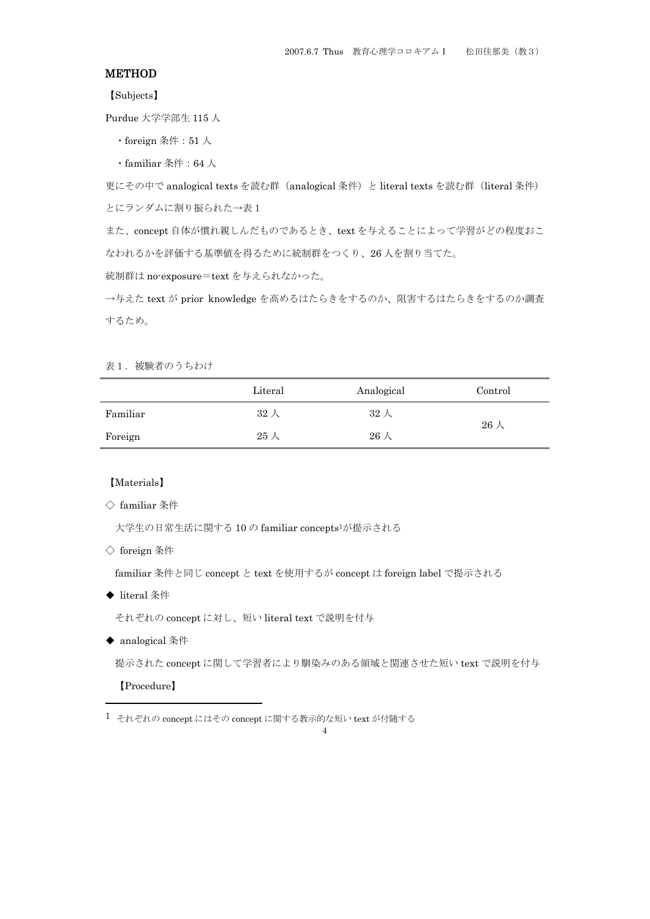# **METHOD**

【Subjects】

Purdue 大学学部生 115 人

- ・foreign 条件:51 人
- ・familiar 条件:64 人

更にその中で analogical texts を読む群(analogical 条件)と literal texts を読む群(literal 条件) とにランダムに割り振られた→表1

また、concept 自体が慣れ親しんだものであるとき、text を与えることによって学習がどの程度おこ なわれるかを評価する基準値を得るために統制群をつくり、26 人を割り当てた。

統制群は no-exposure=text を与えられなかった。

→与えた text が prior knowledge を高めるはたらきをするのか、阻害するはたらきをするのか調査 するため。

表1. 被験者のうちわけ

|          | Literal     | Analogical  | Control     |  |
|----------|-------------|-------------|-------------|--|
| Familiar | 32 人        | $32\lambda$ |             |  |
| Foreign  | $25\lambda$ | $26\lambda$ | $26\lambda$ |  |

## 【Materials】

◇ familiar 条件

大学生の日常生活に関する 10 の familiar concepts1が提示される

◇ foreign 条件

familiar 条件と同じ concept と text を使用するが concept は foreign label で提示される

◆ literal 条件

それぞれの concept に対し、短い literal text で説明を付与

◆ analogical 条件

提示された concept に関して学習者により馴染みのある領域と関連させた短い text で説明を付与

【Procedure】

1

 $1$  それぞれの concept にはその concept に関する教示的な短い text が付随する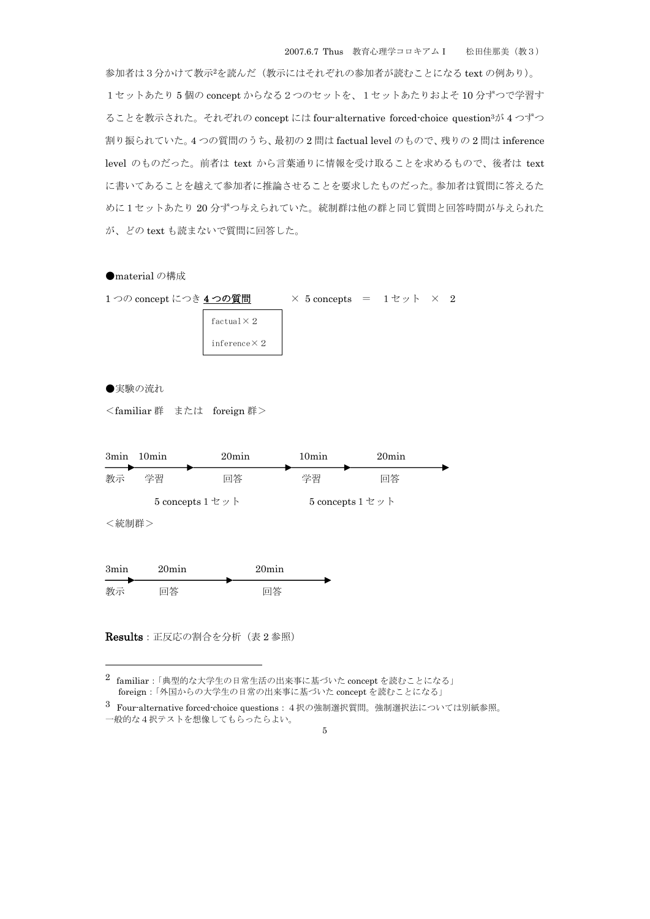参加者は3分かけて教示2を読んだ(教示にはそれぞれの参加者が読むことになる text の例あり)。 1セットあたり 5 個の concept からなる2つのセットを、1セットあたりおよそ 10 分ずつで学習す ることを教示された。それぞれの concept には four-alternative forced-choice question3が 4 つずつ 割り振られていた。4 つの質問のうち、最初の 2 問は factual level のもので、残りの 2 問は inference level のものだった。前者は text から言葉通りに情報を受け取ることを求めるもので、後者は text に書いてあることを越えて参加者に推論させることを要求したものだった。参加者は質問に答えるた めに1セットあたり 20 分ずつ与えられていた。統制群は他の群と同じ質問と回答時間が与えられた が、どの text も読まないで質問に回答した。



 $2$  familiar:「典型的な大学生の日常生活の出来事に基づいた concept を読むことになる」 foreign:「外国からの大学生の日常の出来事に基づいた concept を読むことになる」

3 Four-alternative forced-choice questions:4択の強制選択質問。強制選択法については別紙参照。

一般的な4択テストを想像してもらったらよい。

1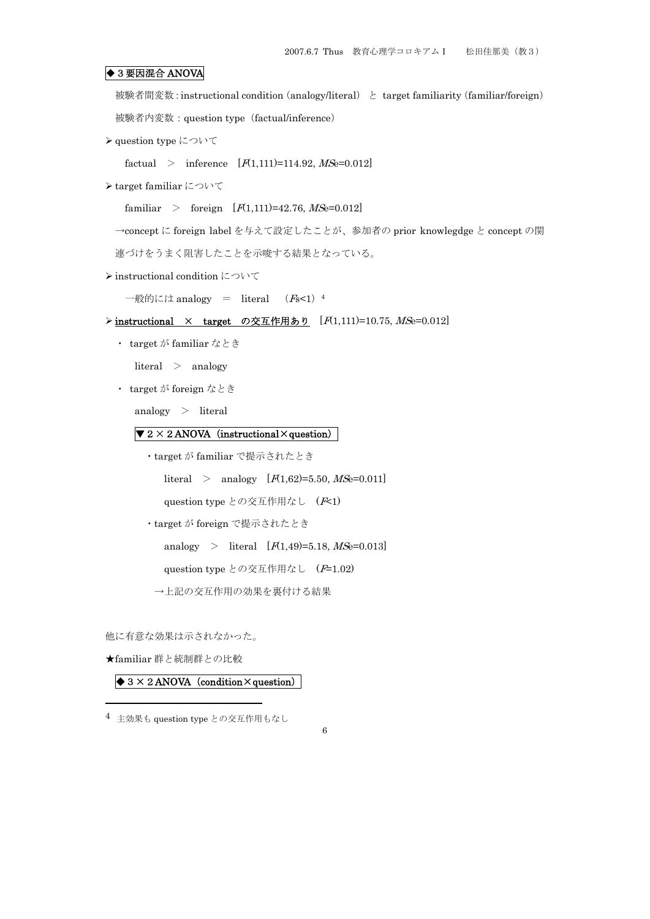# ◆3 要因混合 ANOVA

被験者間変数: instructional condition (analogy/literal) と target familiarity (familiar/foreign)

被験者内変数:question type(factual/inference)

¾ question type について

factual > inference  $[F(1,111)=114.92, \text{MSe}=0.012]$ 

¾ target familiar について

familiar > foreign  $[F(1,111)=42.76, MSe=0.012]$ 

→concept に foreign label を与えて設定したことが、参加者の prior knowlegdge と concept の関

連づけをうまく阻害したことを示唆する結果となっている。

¾ instructional condition について

一般的には analogy = literal  $(Fs<1)$ <sup>4</sup>

## $\triangleright$  instructional × target の交互作用あり  $[F(1,111)=10.75, MSe=0.012]$

・ target が familiar なとき

literal > analogy

・ target が foreign なとき

analogy > literal

# $\sqrt{2 \times 2 \text{ ANOVA}}$  (instructional  $\times$  question)

・target が familiar で提示されたとき

literal > analogy  $[F(1,62)=5.50, MSe=0.011]$ 

question type との交互作用なし (F<1)

・target が foreign で提示されたとき

analogy > literal  $[F(1,49)=5.18, MSe=0.013]$ 

question type との交互作用なし (F=1.02)

→上記の交互作用の効果を裏付ける結果

他に有意な効果は示されなかった。

★familiar 群と統制群との比較

1

# $\bigotimes$  3 × 2 ANOVA (condition × question)

<sup>4</sup> 主効果も question type との交互作用もなし